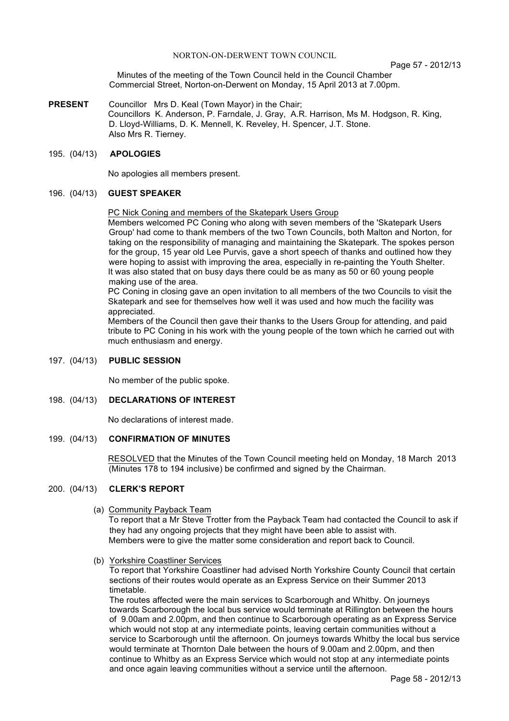#### NORTON-ON-DERWENT TOWN COUNCIL

Page 57 - 2012/13

Minutes of the meeting of the Town Council held in the Council Chamber Commercial Street, Norton-on-Derwent on Monday, 15 April 2013 at 7.00pm.

**PRESENT** Councillor Mrs D. Keal (Town Mayor) in the Chair; Councillors K. Anderson, P. Farndale, J. Gray, A.R. Harrison, Ms M. Hodgson, R. King, D. Lloyd-Williams, D. K. Mennell, K. Reveley, H. Spencer, J.T. Stone. Also Mrs R. Tierney.

#### 195. (04/13) **APOLOGIES**

No apologies all members present.

### 196. (04/13) **GUEST SPEAKER**

PC Nick Coning and members of the Skatepark Users Group

Members welcomed PC Coning who along with seven members of the 'Skatepark Users Group' had come to thank members of the two Town Councils, both Malton and Norton, for taking on the responsibility of managing and maintaining the Skatepark. The spokes person for the group, 15 year old Lee Purvis, gave a short speech of thanks and outlined how they were hoping to assist with improving the area, especially in re-painting the Youth Shelter. It was also stated that on busy days there could be as many as 50 or 60 young people making use of the area.

PC Coning in closing gave an open invitation to all members of the two Councils to visit the Skatepark and see for themselves how well it was used and how much the facility was appreciated.

Members of the Council then gave their thanks to the Users Group for attending, and paid tribute to PC Coning in his work with the young people of the town which he carried out with much enthusiasm and energy.

#### 197. (04/13) **PUBLIC SESSION**

No member of the public spoke.

### 198. (04/13) **DECLARATIONS OF INTEREST**

No declarations of interest made.

#### 199. (04/13) **CONFIRMATION OF MINUTES**

 RESOLVED that the Minutes of the Town Council meeting held on Monday, 18 March 2013 (Minutes 178 to 194 inclusive) be confirmed and signed by the Chairman.

#### 200. (04/13) **CLERK'S REPORT**

(a) Community Payback Team

To report that a Mr Steve Trotter from the Payback Team had contacted the Council to ask if they had any ongoing projects that they might have been able to assist with. Members were to give the matter some consideration and report back to Council.

(b) Yorkshire Coastliner Services

To report that Yorkshire Coastliner had advised North Yorkshire County Council that certain sections of their routes would operate as an Express Service on their Summer 2013 timetable.

The routes affected were the main services to Scarborough and Whitby. On journeys towards Scarborough the local bus service would terminate at Rillington between the hours of 9.00am and 2.00pm, and then continue to Scarborough operating as an Express Service which would not stop at any intermediate points, leaving certain communities without a service to Scarborough until the afternoon. On journeys towards Whitby the local bus service would terminate at Thornton Dale between the hours of 9.00am and 2.00pm, and then continue to Whitby as an Express Service which would not stop at any intermediate points and once again leaving communities without a service until the afternoon.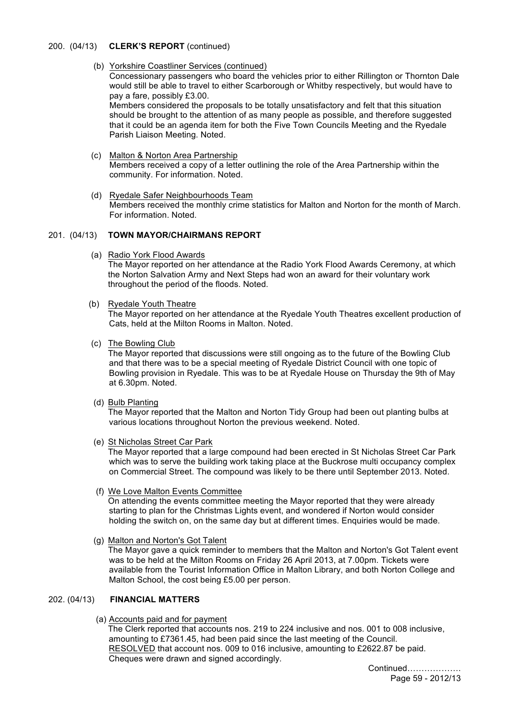### 200. (04/13) **CLERK'S REPORT** (continued)

(b) Yorkshire Coastliner Services (continued)

Concessionary passengers who board the vehicles prior to either Rillington or Thornton Dale would still be able to travel to either Scarborough or Whitby respectively, but would have to pay a fare, possibly £3.00.

Members considered the proposals to be totally unsatisfactory and felt that this situation should be brought to the attention of as many people as possible, and therefore suggested that it could be an agenda item for both the Five Town Councils Meeting and the Ryedale Parish Liaison Meeting. Noted.

- (c) Malton & Norton Area Partnership Members received a copy of a letter outlining the role of the Area Partnership within the community. For information. Noted.
- (d) Ryedale Safer Neighbourhoods Team Members received the monthly crime statistics for Malton and Norton for the month of March. For information. Noted.

# 201. (04/13) **TOWN MAYOR/CHAIRMANS REPORT**

(a) Radio York Flood Awards

The Mayor reported on her attendance at the Radio York Flood Awards Ceremony, at which the Norton Salvation Army and Next Steps had won an award for their voluntary work throughout the period of the floods. Noted.

(b) Ryedale Youth Theatre

The Mayor reported on her attendance at the Ryedale Youth Theatres excellent production of Cats, held at the Milton Rooms in Malton. Noted.

(c) The Bowling Club

The Mayor reported that discussions were still ongoing as to the future of the Bowling Club and that there was to be a special meeting of Ryedale District Council with one topic of Bowling provision in Ryedale. This was to be at Ryedale House on Thursday the 9th of May at 6.30pm. Noted.

(d) Bulb Planting

The Mayor reported that the Malton and Norton Tidy Group had been out planting bulbs at various locations throughout Norton the previous weekend. Noted.

(e) St Nicholas Street Car Park

The Mayor reported that a large compound had been erected in St Nicholas Street Car Park which was to serve the building work taking place at the Buckrose multi occupancy complex on Commercial Street. The compound was likely to be there until September 2013. Noted.

- (f) We Love Malton Events Committee On attending the events committee meeting the Mayor reported that they were already starting to plan for the Christmas Lights event, and wondered if Norton would consider holding the switch on, on the same day but at different times. Enquiries would be made.
- (g) Malton and Norton's Got Talent

The Mayor gave a quick reminder to members that the Malton and Norton's Got Talent event was to be held at the Milton Rooms on Friday 26 April 2013, at 7.00pm. Tickets were available from the Tourist Information Office in Malton Library, and both Norton College and Malton School, the cost being £5.00 per person.

### 202. (04/13) **FINANCIAL MATTERS**

(a) Accounts paid and for payment

The Clerk reported that accounts nos. 219 to 224 inclusive and nos. 001 to 008 inclusive, amounting to £7361.45, had been paid since the last meeting of the Council. RESOLVED that account nos. 009 to 016 inclusive, amounting to £2622.87 be paid. Cheques were drawn and signed accordingly.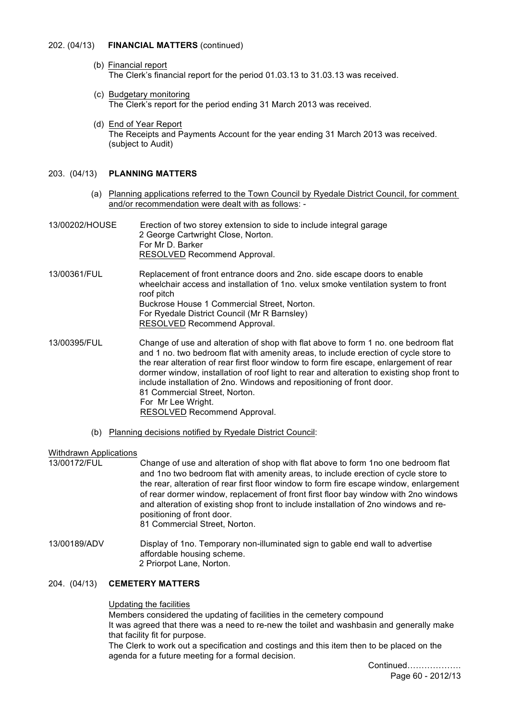### 202. (04/13) **FINANCIAL MATTERS** (continued)

- (b) Financial report The Clerk's financial report for the period 01.03.13 to 31.03.13 was received.
- (c) Budgetary monitoring The Clerk's report for the period ending 31 March 2013 was received.
- (d) End of Year Report The Receipts and Payments Account for the year ending 31 March 2013 was received. (subject to Audit)

# 203. (04/13) **PLANNING MATTERS**

- (a) Planning applications referred to the Town Council by Ryedale District Council, for comment and/or recommendation were dealt with as follows: -
- 13/00202/HOUSE Erection of two storey extension to side to include integral garage 2 George Cartwright Close, Norton. For Mr D. Barker RESOLVED Recommend Approval.
- 13/00361/FUL Replacement of front entrance doors and 2no. side escape doors to enable wheelchair access and installation of 1no. velux smoke ventilation system to front roof pitch Buckrose House 1 Commercial Street, Norton. For Ryedale District Council (Mr R Barnsley) RESOLVED Recommend Approval.
- 13/00395/FUL Change of use and alteration of shop with flat above to form 1 no. one bedroom flat and 1 no. two bedroom flat with amenity areas, to include erection of cycle store to the rear alteration of rear first floor window to form fire escape, enlargement of rear dormer window, installation of roof light to rear and alteration to existing shop front to include installation of 2no. Windows and repositioning of front door. 81 Commercial Street, Norton. For Mr Lee Wright. RESOLVED Recommend Approval.
	- (b) Planning decisions notified by Ryedale District Council:

### Withdrawn Applications

13/00172/FUL Change of use and alteration of shop with flat above to form 1no one bedroom flat and 1no two bedroom flat with amenity areas, to include erection of cycle store to the rear, alteration of rear first floor window to form fire escape window, enlargement of rear dormer window, replacement of front first floor bay window with 2no windows and alteration of existing shop front to include installation of 2no windows and repositioning of front door. 81 Commercial Street, Norton.

13/00189/ADV Display of 1no. Temporary non-illuminated sign to gable end wall to advertise affordable housing scheme. 2 Priorpot Lane, Norton.

### 204. (04/13) **CEMETERY MATTERS**

### Updating the facilities

Members considered the updating of facilities in the cemetery compound It was agreed that there was a need to re-new the toilet and washbasin and generally make that facility fit for purpose.

The Clerk to work out a specification and costings and this item then to be placed on the agenda for a future meeting for a formal decision.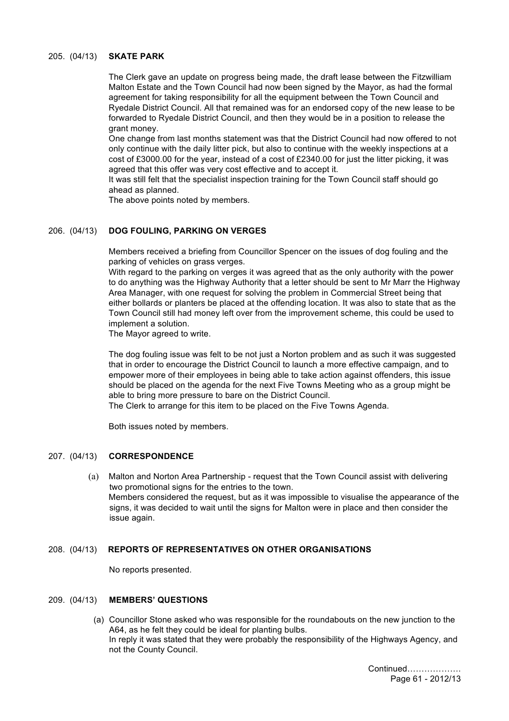## 205. (04/13) **SKATE PARK**

The Clerk gave an update on progress being made, the draft lease between the Fitzwilliam Malton Estate and the Town Council had now been signed by the Mayor, as had the formal agreement for taking responsibility for all the equipment between the Town Council and Ryedale District Council. All that remained was for an endorsed copy of the new lease to be forwarded to Ryedale District Council, and then they would be in a position to release the grant money.

One change from last months statement was that the District Council had now offered to not only continue with the daily litter pick, but also to continue with the weekly inspections at a cost of £3000.00 for the year, instead of a cost of £2340.00 for just the litter picking, it was agreed that this offer was very cost effective and to accept it.

It was still felt that the specialist inspection training for the Town Council staff should go ahead as planned.

The above points noted by members.

## 206. (04/13) **DOG FOULING, PARKING ON VERGES**

Members received a briefing from Councillor Spencer on the issues of dog fouling and the parking of vehicles on grass verges.

With regard to the parking on verges it was agreed that as the only authority with the power to do anything was the Highway Authority that a letter should be sent to Mr Marr the Highway Area Manager, with one request for solving the problem in Commercial Street being that either bollards or planters be placed at the offending location. It was also to state that as the Town Council still had money left over from the improvement scheme, this could be used to implement a solution.

The Mayor agreed to write.

The dog fouling issue was felt to be not just a Norton problem and as such it was suggested that in order to encourage the District Council to launch a more effective campaign, and to empower more of their employees in being able to take action against offenders, this issue should be placed on the agenda for the next Five Towns Meeting who as a group might be able to bring more pressure to bare on the District Council.

The Clerk to arrange for this item to be placed on the Five Towns Agenda.

Both issues noted by members.

# 207. (04/13) **CORRESPONDENCE**

 (a) Malton and Norton Area Partnership - request that the Town Council assist with delivering two promotional signs for the entries to the town. Members considered the request, but as it was impossible to visualise the appearance of the signs, it was decided to wait until the signs for Malton were in place and then consider the issue again.

# 208. (04/13) **REPORTS OF REPRESENTATIVES ON OTHER ORGANISATIONS**

No reports presented.

# 209. (04/13) **MEMBERS' QUESTIONS**

 (a) Councillor Stone asked who was responsible for the roundabouts on the new junction to the A64, as he felt they could be ideal for planting bulbs. In reply it was stated that they were probably the responsibility of the Highways Agency, and not the County Council.